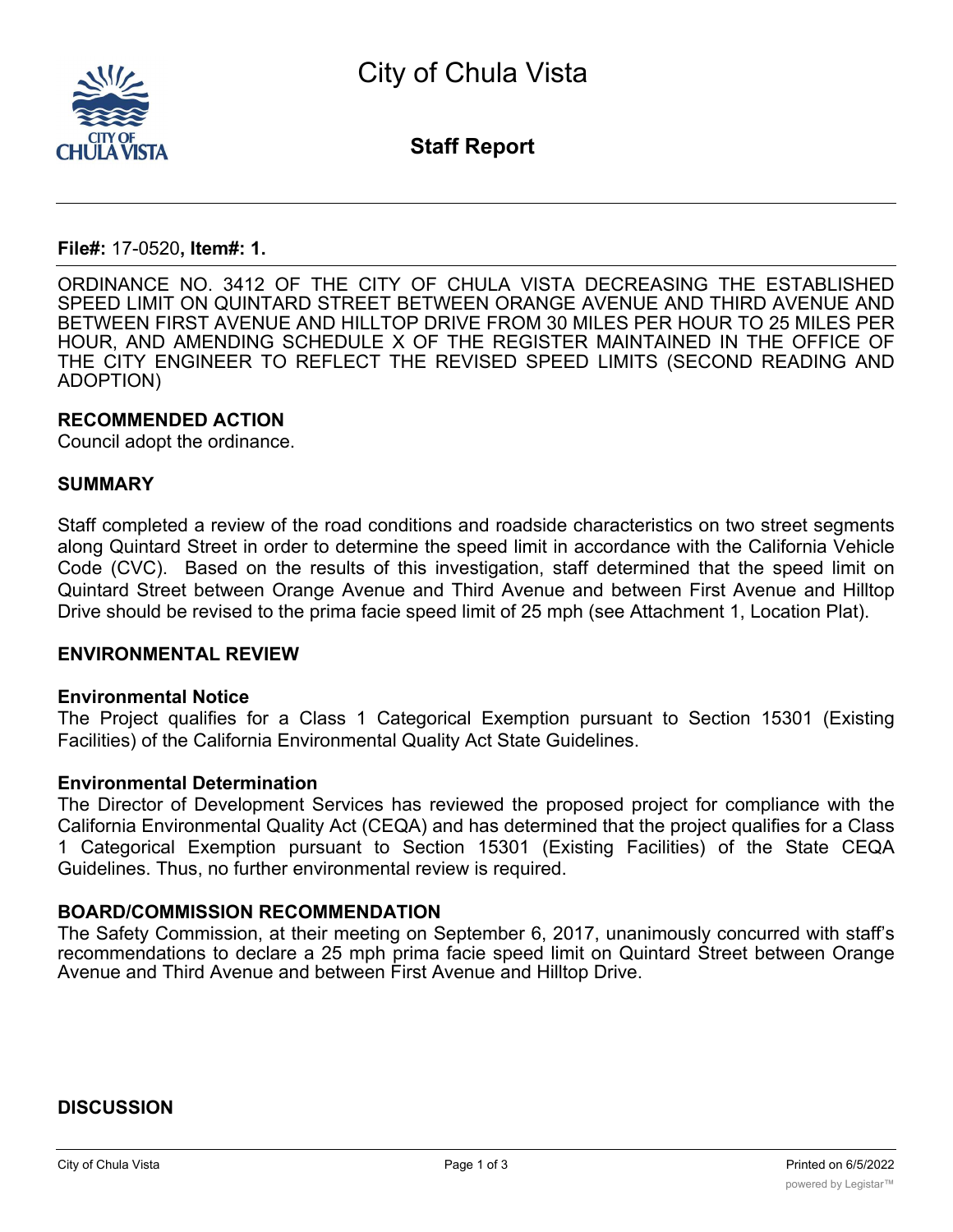

**Staff Report**

## **File#:** 17-0520**, Item#: 1.**

ORDINANCE NO. 3412 OF THE CITY OF CHULA VISTA DECREASING THE ESTABLISHED SPEED LIMIT ON QUINTARD STREET BETWEEN ORANGE AVENUE AND THIRD AVENUE AND BETWEEN FIRST AVENUE AND HILLTOP DRIVE FROM 30 MILES PER HOUR TO 25 MILES PER HOUR, AND AMENDING SCHEDULE X OF THE REGISTER MAINTAINED IN THE OFFICE OF THE CITY ENGINEER TO REFLECT THE REVISED SPEED LIMITS (SECOND READING AND ADOPTION)

## **RECOMMENDED ACTION**

Council adopt the ordinance.

#### **SUMMARY**

Staff completed a review of the road conditions and roadside characteristics on two street segments along Quintard Street in order to determine the speed limit in accordance with the California Vehicle Code (CVC). Based on the results of this investigation, staff determined that the speed limit on Quintard Street between Orange Avenue and Third Avenue and between First Avenue and Hilltop Drive should be revised to the prima facie speed limit of 25 mph (see Attachment 1, Location Plat).

### **ENVIRONMENTAL REVIEW**

#### **Environmental Notice**

The Project qualifies for a Class 1 Categorical Exemption pursuant to Section 15301 (Existing Facilities) of the California Environmental Quality Act State Guidelines.

#### **Environmental Determination**

The Director of Development Services has reviewed the proposed project for compliance with the California Environmental Quality Act (CEQA) and has determined that the project qualifies for a Class 1 Categorical Exemption pursuant to Section 15301 (Existing Facilities) of the State CEQA Guidelines. Thus, no further environmental review is required.

## **BOARD/COMMISSION RECOMMENDATION**

The Safety Commission, at their meeting on September 6, 2017, unanimously concurred with staff's recommendations to declare a 25 mph prima facie speed limit on Quintard Street between Orange Avenue and Third Avenue and between First Avenue and Hilltop Drive.

## **DISCUSSION**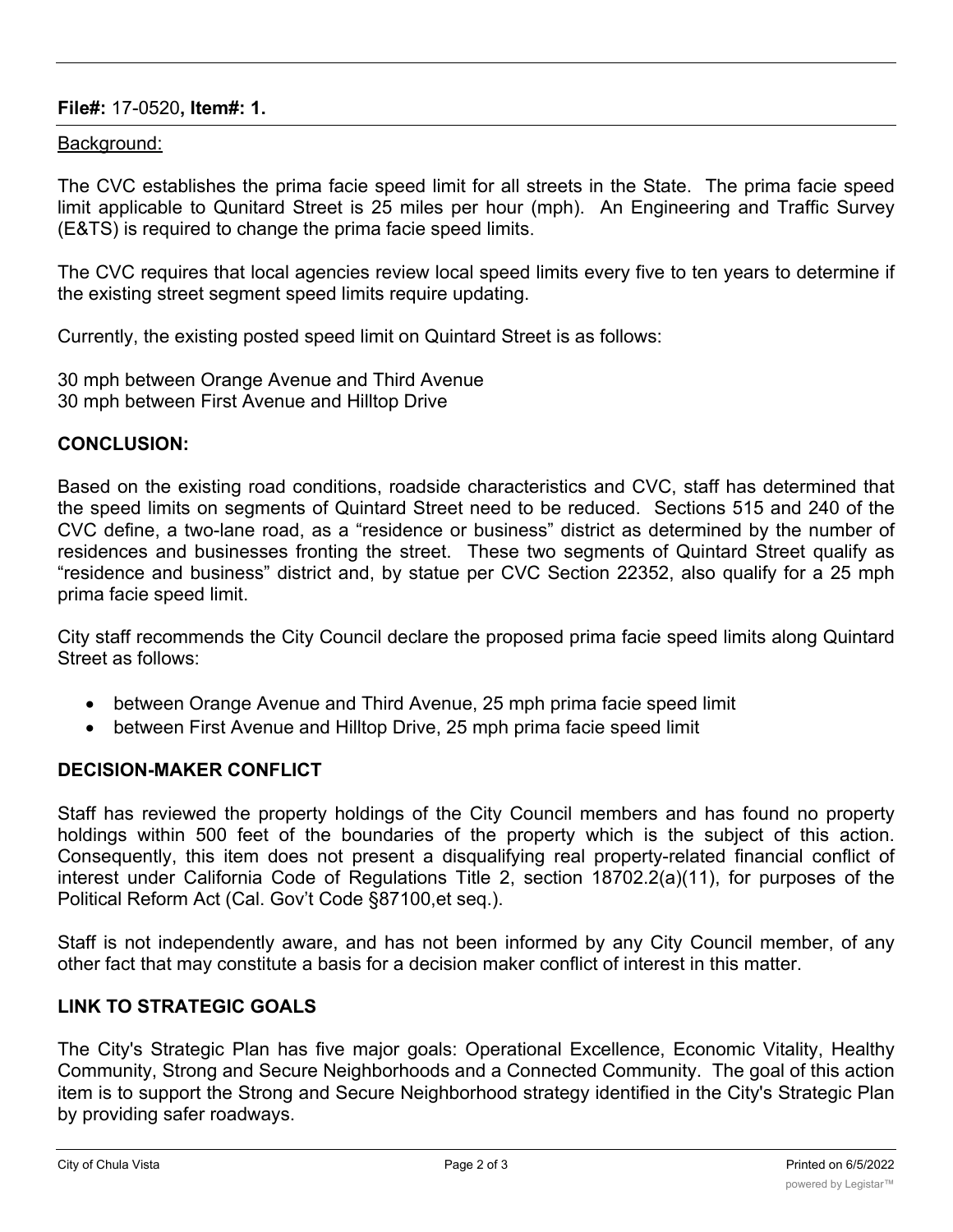# **File#:** 17-0520**, Item#: 1.**

## Background:

The CVC establishes the prima facie speed limit for all streets in the State. The prima facie speed limit applicable to Qunitard Street is 25 miles per hour (mph). An Engineering and Traffic Survey (E&TS) is required to change the prima facie speed limits.

The CVC requires that local agencies review local speed limits every five to ten years to determine if the existing street segment speed limits require updating.

Currently, the existing posted speed limit on Quintard Street is as follows:

30 mph between Orange Avenue and Third Avenue 30 mph between First Avenue and Hilltop Drive

## **CONCLUSION:**

Based on the existing road conditions, roadside characteristics and CVC, staff has determined that the speed limits on segments of Quintard Street need to be reduced. Sections 515 and 240 of the CVC define, a two-lane road, as a "residence or business" district as determined by the number of residences and businesses fronting the street. These two segments of Quintard Street qualify as "residence and business" district and, by statue per CVC Section 22352, also qualify for a 25 mph prima facie speed limit.

City staff recommends the City Council declare the proposed prima facie speed limits along Quintard Street as follows:

- · between Orange Avenue and Third Avenue, 25 mph prima facie speed limit
- between First Avenue and Hilltop Drive, 25 mph prima facie speed limit

# **DECISION-MAKER CONFLICT**

Staff has reviewed the property holdings of the City Council members and has found no property holdings within 500 feet of the boundaries of the property which is the subject of this action. Consequently, this item does not present a disqualifying real property-related financial conflict of interest under California Code of Regulations Title 2, section 18702.2(a)(11), for purposes of the Political Reform Act (Cal. Gov't Code §87100,et seq.).

Staff is not independently aware, and has not been informed by any City Council member, of any other fact that may constitute a basis for a decision maker conflict of interest in this matter.

# **LINK TO STRATEGIC GOALS**

The City's Strategic Plan has five major goals: Operational Excellence, Economic Vitality, Healthy Community, Strong and Secure Neighborhoods and a Connected Community. The goal of this action item is to support the Strong and Secure Neighborhood strategy identified in the City's Strategic Plan by providing safer roadways.